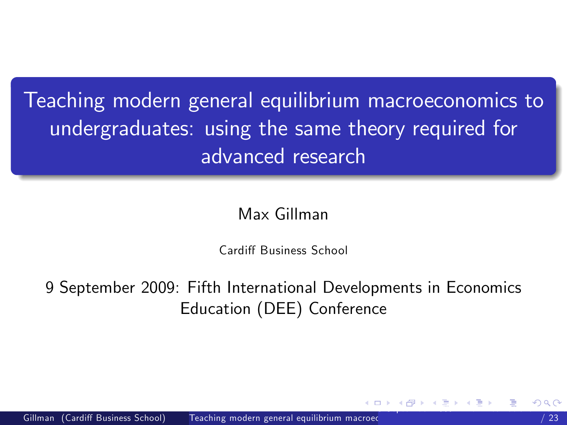Teaching modern general equilibrium macroeconomics to undergraduates: using the same theory required for advanced research

Max Gillman

<span id="page-0-0"></span>Cardiff Business School

9 September 2009: Fifth International Developments in Economics Education (DEE) Conference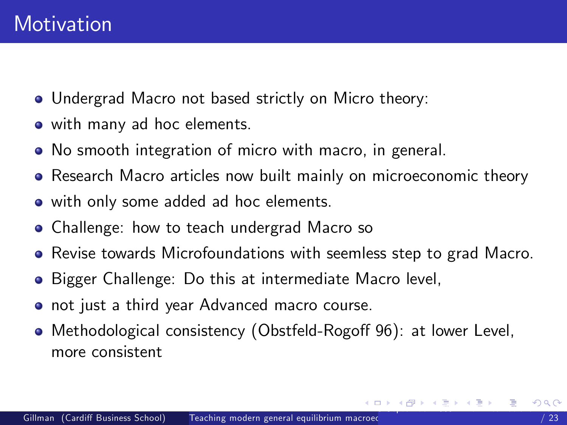- Undergrad Macro not based strictly on Micro theory:
- with many ad hoc elements.
- No smooth integration of micro with macro, in general.
- Research Macro articles now built mainly on microeconomic theory
- with only some added ad hoc elements.
- Challenge: how to teach undergrad Macro so
- Revise towards Microfoundations with seemless step to grad Macro.
- **•** Bigger Challenge: Do this at intermediate Macro level,
- not just a third year Advanced macro course.
- <span id="page-1-0"></span>● Methodological consistency (Obstfeld-Rogoff 96): at lower Level, more consistent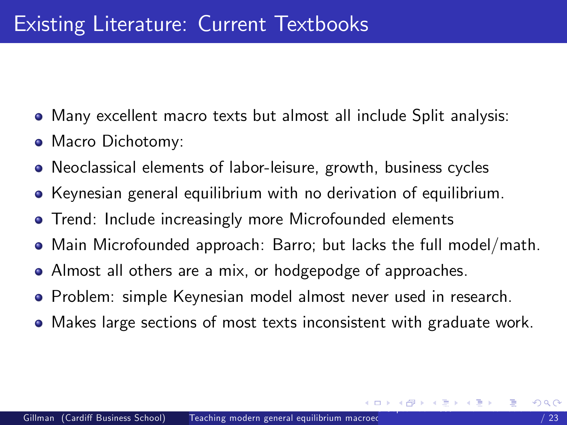- Many excellent macro texts but almost all include Split analysis:
- Macro Dichotomy:
- Neoclassical elements of labor-leisure, growth, business cycles
- Keynesian general equilibrium with no derivation of equilibrium.
- **•** Trend: Include increasingly more Microfounded elements
- Main Microfounded approach: Barro; but lacks the full model/math.
- Almost all others are a mix, or hodgepodge of approaches.
- **•** Problem: simple Keynesian model almost never used in research.
- <span id="page-2-0"></span>Makes large sections of most texts inconsistent with graduate work.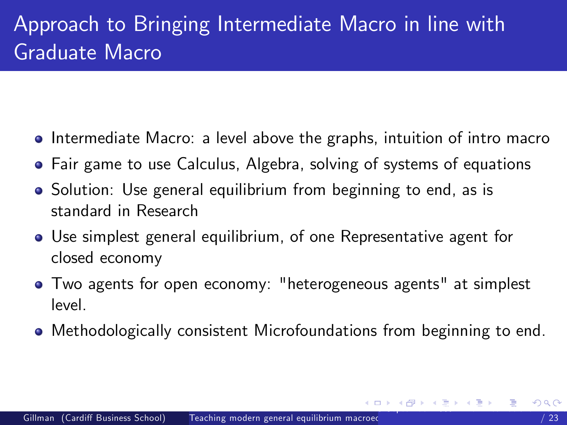## Approach to Bringing Intermediate Macro in line with Graduate Macro

- Intermediate Macro: a level above the graphs, intuition of intro macro
- Fair game to use Calculus, Algebra, solving of systems of equations
- Solution: Use general equilibrium from beginning to end, as is standard in Research
- Use simplest general equilibrium, of one Representative agent for closed economy
- Two agents for open economy: "heterogeneous agents" at simplest level.
- <span id="page-3-0"></span>Methodologically consistent Microfoundations from beginning to end.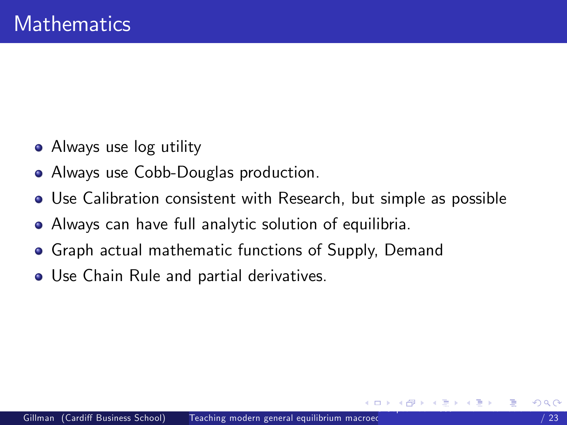- Always use log utility
- Always use Cobb-Douglas production.
- Use Calibration consistent with Research, but simple as possible
- Always can have full analytic solution of equilibria.
- Graph actual mathematic functions of Supply, Demand
- <span id="page-4-0"></span>Use Chain Rule and partial derivatives.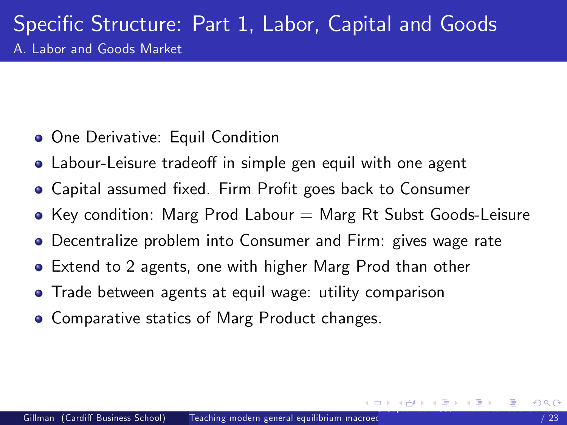- One Derivative: Equil Condition
- Labour-Leisure tradeoff in simple gen equil with one agent
- Capital assumed fixed. Firm Profit goes back to Consumer
- Key condition: Marg Prod Labour  $=$  Marg Rt Subst Goods-Leisure
- Decentralize problem into Consumer and Firm: gives wage rate
- Extend to 2 agents, one with higher Marg Prod than other
- Trade between agents at equil wage: utility comparison
- <span id="page-5-0"></span>• Comparative statics of Marg Product changes.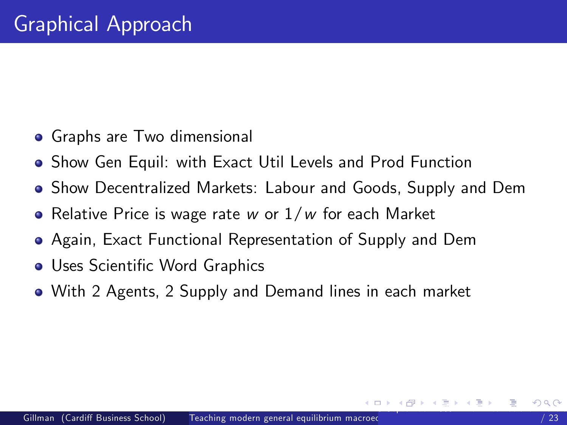- Graphs are Two dimensional
- Show Gen Equil: with Exact Util Levels and Prod Function
- Show Decentralized Markets: Labour and Goods, Supply and Dem
- Relative Price is wage rate w or  $1/w$  for each Market
- Again, Exact Functional Representation of Supply and Dem
- Uses Scientific Word Graphics
- <span id="page-6-0"></span>With 2 Agents, 2 Supply and Demand lines in each market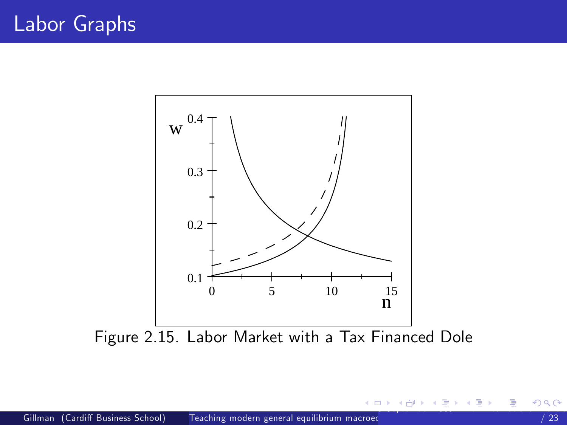

4 日下

÷

<span id="page-7-0"></span>阻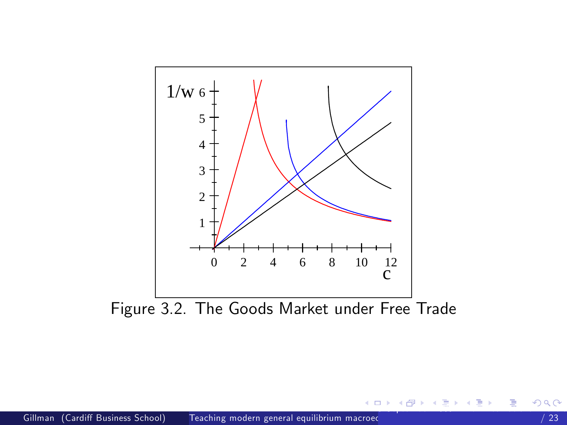

Figure 3.2. The Goods Market under Free Trade

<span id="page-8-0"></span>造

メロメ メ都 メメ 君 メメ ヨメ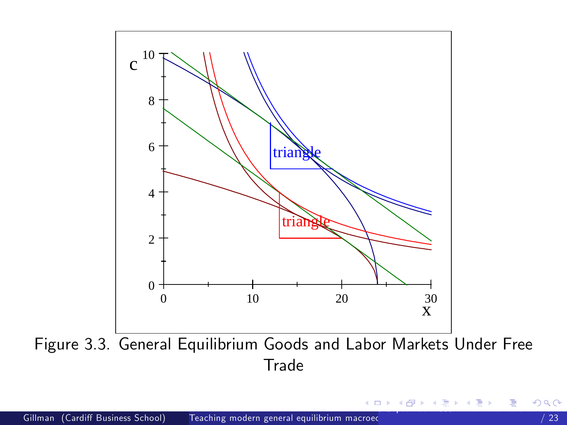

Figure 3.3. General Equilibrium Goods and Labor Markets Under Free Trade

4 D F

**<母 > <目**  $\rightarrow$  <span id="page-9-0"></span>э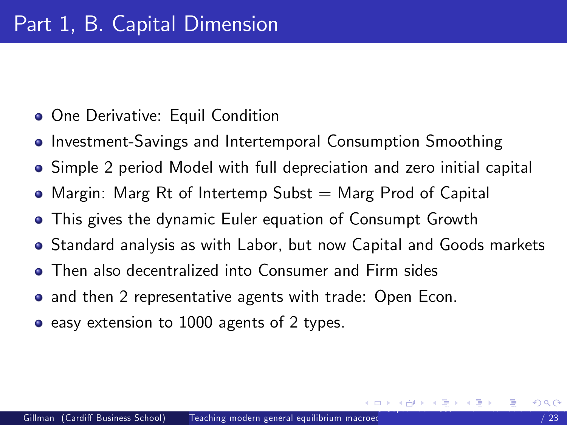- **One Derivative: Equil Condition**
- **Investment-Savings and Intertemporal Consumption Smoothing**
- Simple 2 period Model with full depreciation and zero initial capital
- $\bullet$  Margin: Marg Rt of Intertemp Subst  $=$  Marg Prod of Capital
- This gives the dynamic Euler equation of Consumpt Growth
- Standard analysis as with Labor, but now Capital and Goods markets
- Then also decentralized into Consumer and Firm sides
- and then 2 representative agents with trade: Open Econ.
- <span id="page-10-0"></span>• easy extension to 1000 agents of 2 types.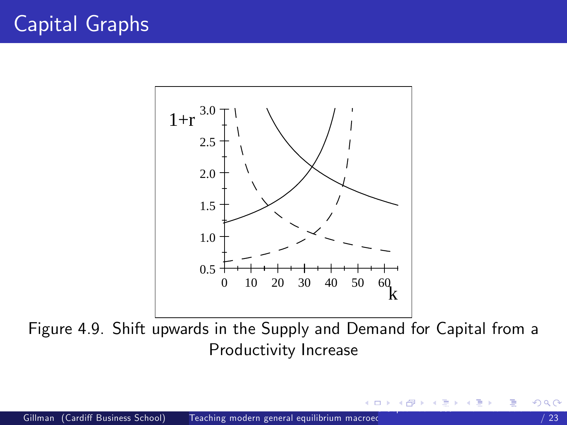

Figure 4.9. Shift upwards in the Supply and Demand for Capital from a Productivity Increase

<span id="page-11-0"></span> $\Box$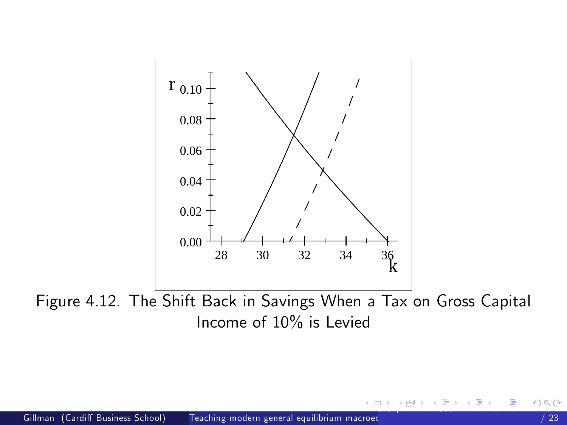

Figure 4.12. The Shift Back in Savings When a Tax on Gross Capital Income of 10% is Levied

<span id="page-12-0"></span> $\Box$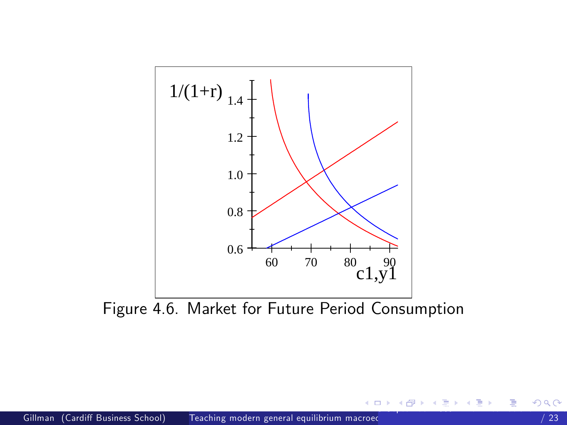

Figure 4.6. Market for Future Period Consumption

4 0 8

- 4母 ト 4 ヨ ト 4 ヨ ト

<span id="page-13-0"></span>造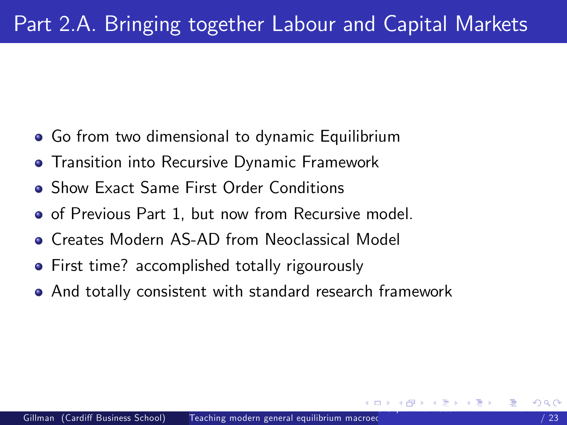- Go from two dimensional to dynamic Equilibrium
- **•** Transition into Recursive Dynamic Framework
- Show Exact Same First Order Conditions
- **•** of Previous Part 1, but now from Recursive model.
- **Creates Modern AS-AD from Neoclassical Model**
- **•** First time? accomplished totally rigourously
- <span id="page-14-0"></span>And totally consistent with standard research framework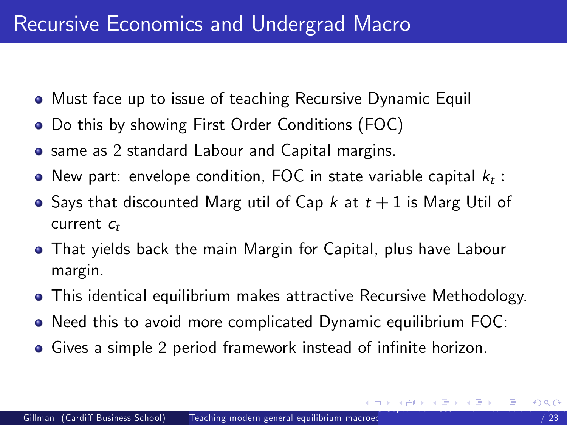- Must face up to issue of teaching Recursive Dynamic Equil
- Do this by showing First Order Conditions (FOC)
- **•** same as 2 standard Labour and Capital margins.
- New part: envelope condition, FOC in state variable capital  $k_t$  :
- Says that discounted Marg util of Cap k at  $t+1$  is Marg Util of current  $c_t$
- That yields back the main Margin for Capital, plus have Labour margin.
- This identical equilibrium makes attractive Recursive Methodology.
- Need this to avoid more complicated Dynamic equilibrium FOC:
- <span id="page-15-0"></span>• Gives a simple 2 period framework instead of infinite horizon.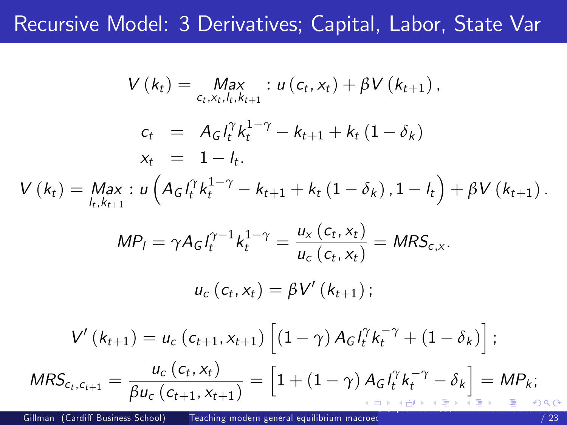## Recursive Model: 3 Derivatives; Capital, Labor, State Var

<span id="page-16-0"></span>
$$
V(k_{t}) = \max_{c_{t}, x_{t}, l_{t}, k_{t+1}} : u(c_{t}, x_{t}) + \beta V(k_{t+1}),
$$
\n
$$
c_{t} = A_{G} l_{t}^{\gamma} k_{t}^{1-\gamma} - k_{t+1} + k_{t} (1 - \delta_{k})
$$
\n
$$
x_{t} = 1 - l_{t}.
$$
\n
$$
V(k_{t}) = \max_{l_{t}, k_{t+1}} : u\left(A_{G} l_{t}^{\gamma} k_{t}^{1-\gamma} - k_{t+1} + k_{t} (1 - \delta_{k}), 1 - l_{t}\right) + \beta V(k_{t+1}).
$$
\n
$$
MP_{l} = \gamma A_{G} l_{t}^{\gamma - 1} k_{t}^{1-\gamma} = \frac{u_{x} (c_{t}, x_{t})}{u_{c} (c_{t}, x_{t})} = MRS_{c,x}.
$$
\n
$$
u_{c} (c_{t}, x_{t}) = \beta V'(k_{t+1});
$$
\n
$$
V'(k_{t+1}) = u_{c} (c_{t+1}, x_{t+1}) \left[ (1 - \gamma) A_{G} l_{t}^{\gamma} k_{t}^{-\gamma} + (1 - \delta_{k}) \right];
$$
\n
$$
MRS_{c_{t}, c_{t+1}} = \frac{u_{c} (c_{t}, x_{t})}{\beta u_{c} (c_{t+1}, x_{t+1})} = \left[ 1 + (1 - \gamma) A_{G} l_{t}^{\gamma} k_{t}^{-\gamma} - \delta_{k} \right] = MP_{k};
$$
\n
$$
P(k_{t+1}) = \frac{u_{c} (c_{t}, x_{t})}{\beta u_{c} (c_{t+1}, x_{t+1})} = \left[ 1 + (1 - \gamma) A_{G} l_{t}^{\gamma} k_{t}^{-\gamma} - \delta_{k} \right] = MP_{k};
$$
\n
$$
P(k_{t+1}) = \frac{u_{c} (c_{t}, x_{t})}{\beta u_{c} (c_{t+1}, x_{t+1})} = \frac{1}{\beta u_{c} (c_{t+1}, x_{t+1})} = \frac{1}{\beta u_{c} (c_{t+1}, x_{t+1})} = \frac{1}{\beta u_{c} (c_{t+1}, x_{t+1})} = \frac{1}{\
$$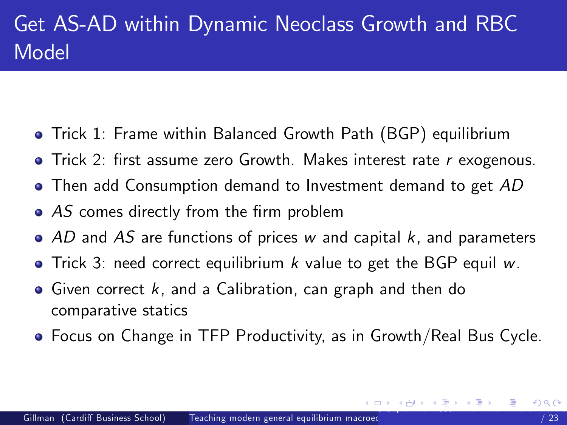- Trick 1: Frame within Balanced Growth Path (BGP) equilibrium
- $\bullet$  Trick 2: first assume zero Growth. Makes interest rate r exogenous.
- **•** Then add Consumption demand to Investment demand to get AD
- $\bullet$  AS comes directly from the firm problem
- $\bullet$  AD and AS are functions of prices w and capital k, and parameters
- $\bullet$  Trick 3: need correct equilibrium k value to get the BGP equil w.
- $\bullet$  Given correct k, and a Calibration, can graph and then do comparative statics
- <span id="page-17-0"></span>Focus on Change in TFP Productivity, as in Growth/Real Bus Cycle.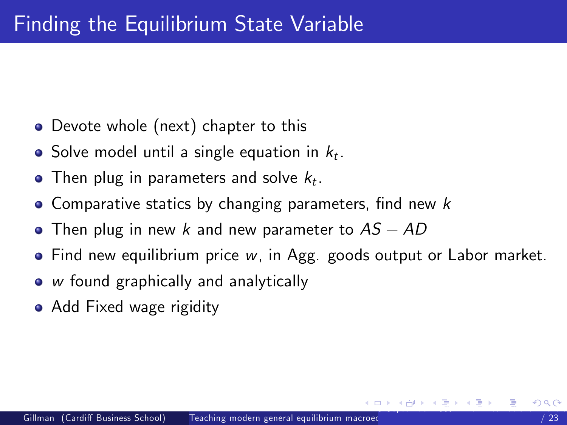- Devote whole (next) chapter to this
- Solve model until a single equation in  $k_t$ .
- Then plug in parameters and solve  $k_t$ .
- $\bullet$  Comparative statics by changing parameters, find new k
- $\bullet$  Then plug in new k and new parameter to  $AS AD$
- Find new equilibrium price w, in Agg. goods output or Labor market.
- w found graphically and analytically
- <span id="page-18-0"></span>• Add Fixed wage rigidity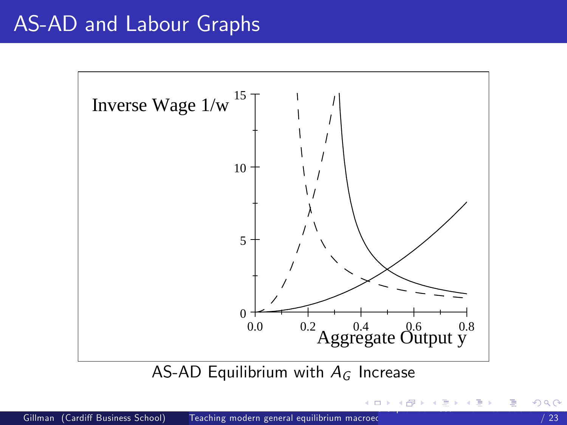## AS-AD and Labour Graphs



AS-AD Equilibrium with  $A_G$  Increase

<span id="page-19-0"></span>∢n⊞ ≻ ∢ ∃ ≻ ⊣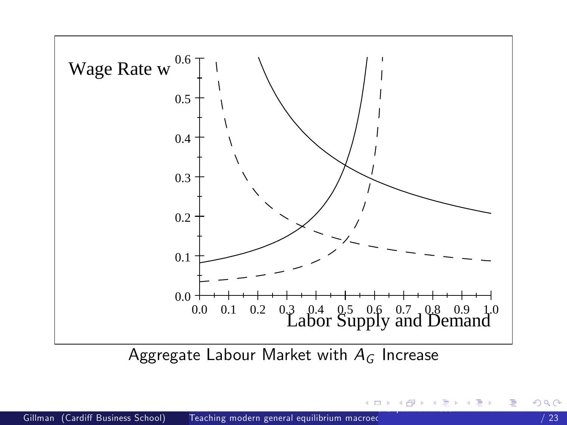

<span id="page-20-0"></span>Aggregate Labour Market with  $A_G$  Increase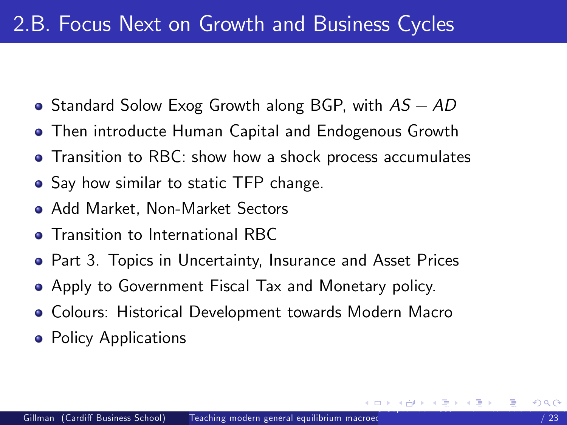- Standard Solow Exog Growth along BGP, with  $AS AD$
- Then introducte Human Capital and Endogenous Growth
- Transition to RBC: show how a shock process accumulates
- Say how similar to static TFP change.
- Add Market, Non-Market Sectors
- **Transition to International RBC**
- **•** Part 3. Topics in Uncertainty, Insurance and Asset Prices
- Apply to Government Fiscal Tax and Monetary policy.
- Colours: Historical Development towards Modern Macro
- <span id="page-21-0"></span>• Policy Applications